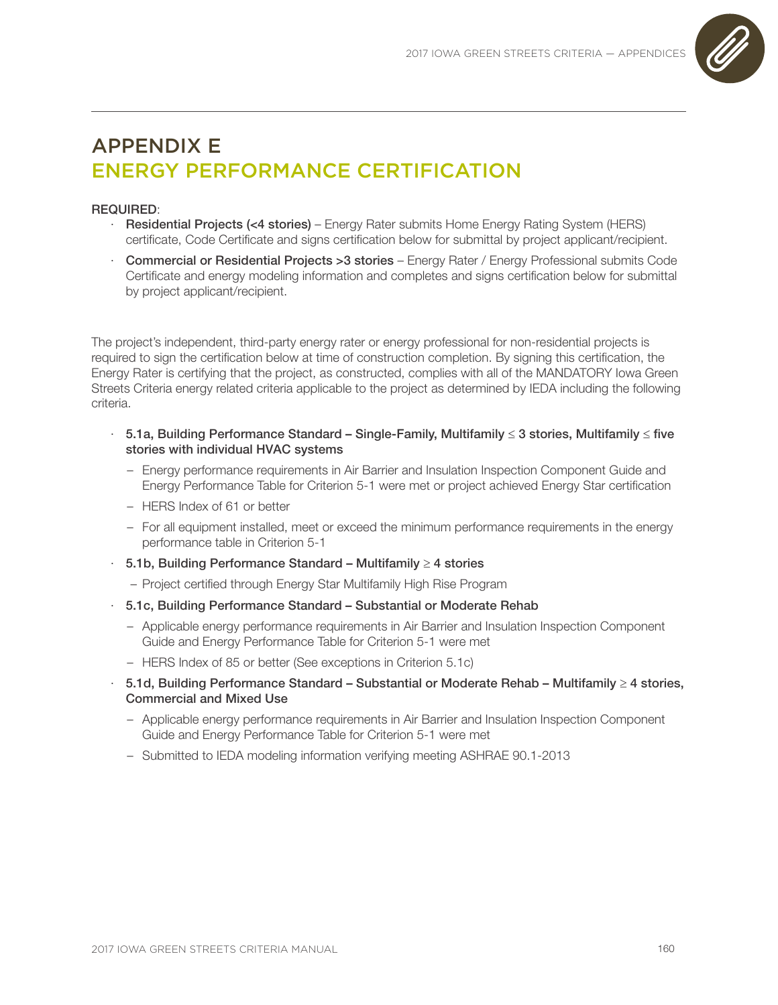

## APPENDIX E ENERGY PERFORMANCE CERTIFICATION

## REQUIRED:

- · Residential Projects (<4 stories) Energy Rater submits Home Energy Rating System (HERS) certificate, Code Certificate and signs certification below for submittal by project applicant/recipient.
- · Commercial or Residential Projects >3 stories Energy Rater / Energy Professional submits Code Certificate and energy modeling information and completes and signs certification below for submittal by project applicant/recipient.

The project's independent, third-party energy rater or energy professional for non-residential projects is required to sign the certification below at time of construction completion. By signing this certification, the Energy Rater is certifying that the project, as constructed, complies with all of the MANDATORY Iowa Green Streets Criteria energy related criteria applicable to the project as determined by IEDA including the following criteria.

- · 5.1a, Building Performance Standard Single-Family, Multifamily ≤ 3 stories, Multifamily ≤ five stories with individual HVAC systems
	- Energy performance requirements in Air Barrier and Insulation Inspection Component Guide and Energy Performance Table for Criterion 5-1 were met or project achieved Energy Star certification
	- HERS Index of 61 or better
	- For all equipment installed, meet or exceed the minimum performance requirements in the energy performance table in Criterion 5-1
- · 5.1b, Building Performance Standard Multifamily ≥ 4 stories
	- Project certified through Energy Star Multifamily High Rise Program
- · 5.1c, Building Performance Standard Substantial or Moderate Rehab
	- Applicable energy performance requirements in Air Barrier and Insulation Inspection Component Guide and Energy Performance Table for Criterion 5-1 were met
	- HERS Index of 85 or better (See exceptions in Criterion 5.1c)
- · 5.1d, Building Performance Standard Substantial or Moderate Rehab Multifamily ≥ 4 stories, Commercial and Mixed Use
	- Applicable energy performance requirements in Air Barrier and Insulation Inspection Component Guide and Energy Performance Table for Criterion 5-1 were met
	- Submitted to IEDA modeling information verifying meeting ASHRAE 90.1-2013